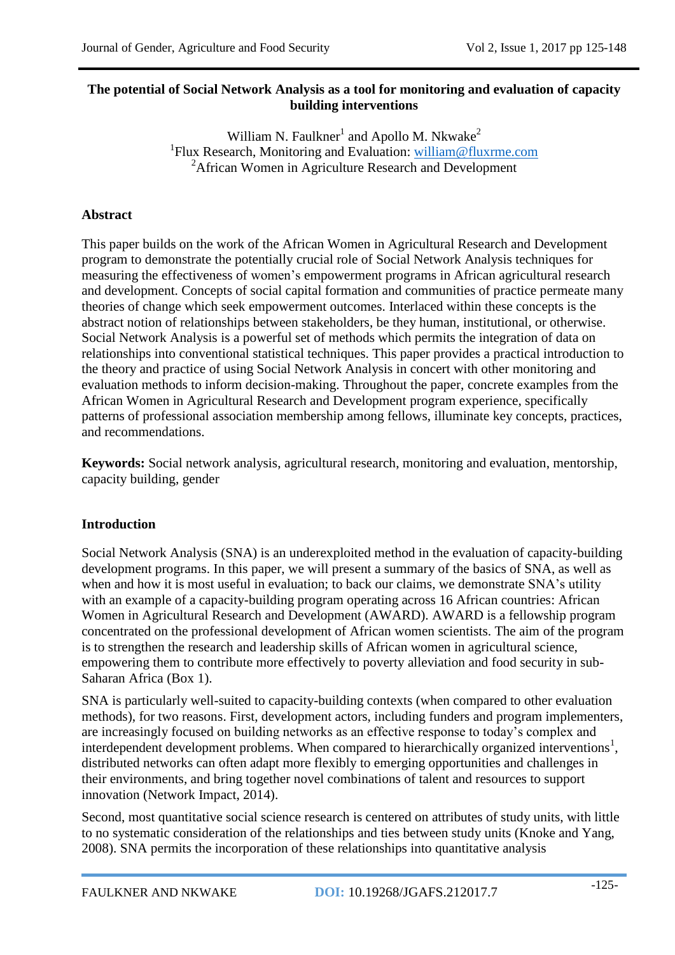## **The potential of Social Network Analysis as a tool for monitoring and evaluation of capacity building interventions**

William N. Faulkner<sup>1</sup> and Apollo M. Nkwake<sup>2</sup> <sup>1</sup>Flux Research, Monitoring and Evaluation: [william@fluxrme.com](mailto:william@fluxrme.com) <sup>2</sup>African Women in Agriculture Research and Development

# **Abstract**

This paper builds on the work of the African Women in Agricultural Research and Development program to demonstrate the potentially crucial role of Social Network Analysis techniques for measuring the effectiveness of women's empowerment programs in African agricultural research and development. Concepts of social capital formation and communities of practice permeate many theories of change which seek empowerment outcomes. Interlaced within these concepts is the abstract notion of relationships between stakeholders, be they human, institutional, or otherwise. Social Network Analysis is a powerful set of methods which permits the integration of data on relationships into conventional statistical techniques. This paper provides a practical introduction to the theory and practice of using Social Network Analysis in concert with other monitoring and evaluation methods to inform decision-making. Throughout the paper, concrete examples from the African Women in Agricultural Research and Development program experience, specifically patterns of professional association membership among fellows, illuminate key concepts, practices, and recommendations.

**Keywords:** Social network analysis, agricultural research, monitoring and evaluation, mentorship, capacity building, gender

# **Introduction**

Social Network Analysis (SNA) is an underexploited method in the evaluation of capacity-building development programs. In this paper, we will present a summary of the basics of SNA, as well as when and how it is most useful in evaluation; to back our claims, we demonstrate SNA's utility with an example of a capacity-building program operating across 16 African countries: African Women in Agricultural Research and Development (AWARD). AWARD is a fellowship program concentrated on the professional development of African women scientists. The aim of the program is to strengthen the research and leadership skills of African women in agricultural science, empowering them to contribute more effectively to poverty alleviation and food security in sub-Saharan Africa (Box 1).

SNA is particularly well-suited to capacity-building contexts (when compared to other evaluation methods), for two reasons. First, development actors, including funders and program implementers, are increasingly focused on building networks as an effective response to today's complex and interdependent development problems. When compared to hierarchically organized interventions<sup>1</sup>, distributed networks can often adapt more flexibly to emerging opportunities and challenges in their environments, and bring together novel combinations of talent and resources to support innovation (Network Impact, 2014).

Second, most quantitative social science research is centered on attributes of study units, with little to no systematic consideration of the relationships and ties between study units (Knoke and Yang, 2008). SNA permits the incorporation of these relationships into quantitative analysis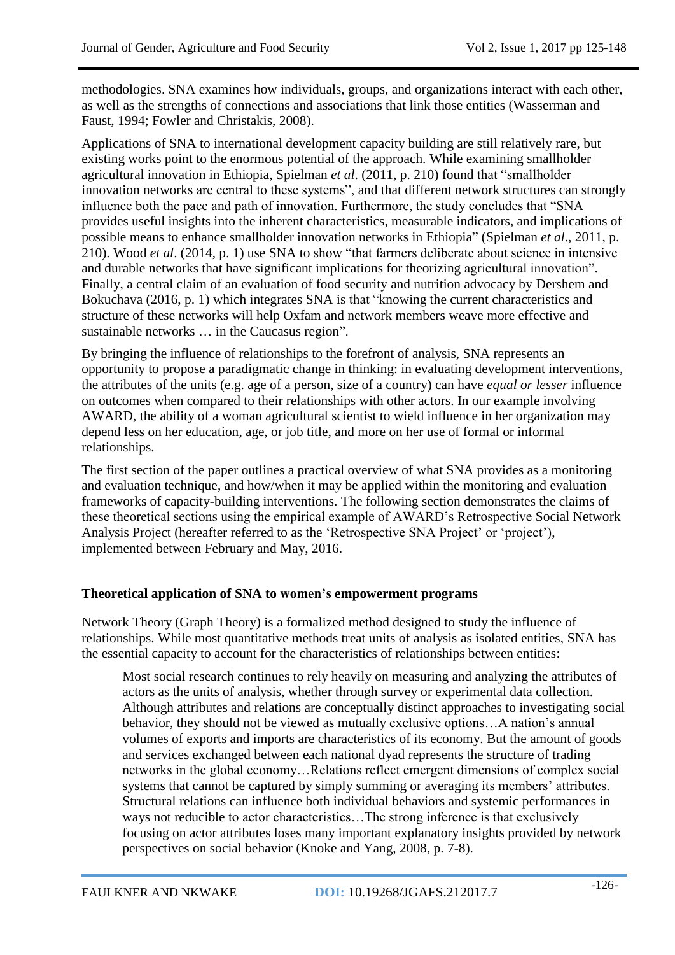methodologies. SNA examines how individuals, groups, and organizations interact with each other, as well as the strengths of connections and associations that link those entities (Wasserman and Faust, 1994; Fowler and Christakis, 2008).

Applications of SNA to international development capacity building are still relatively rare, but existing works point to the enormous potential of the approach. While examining smallholder agricultural innovation in Ethiopia, Spielman *et al*. (2011, p. 210) found that "smallholder innovation networks are central to these systems", and that different network structures can strongly influence both the pace and path of innovation. Furthermore, the study concludes that "SNA provides useful insights into the inherent characteristics, measurable indicators, and implications of possible means to enhance smallholder innovation networks in Ethiopia" (Spielman *et al*., 2011, p. 210). Wood *et al*. (2014, p. 1) use SNA to show "that farmers deliberate about science in intensive and durable networks that have significant implications for theorizing agricultural innovation". Finally, a central claim of an evaluation of food security and nutrition advocacy by Dershem and Bokuchava (2016, p. 1) which integrates SNA is that "knowing the current characteristics and structure of these networks will help Oxfam and network members weave more effective and sustainable networks … in the Caucasus region".

By bringing the influence of relationships to the forefront of analysis, SNA represents an opportunity to propose a paradigmatic change in thinking: in evaluating development interventions, the attributes of the units (e.g. age of a person, size of a country) can have *equal or lesser* influence on outcomes when compared to their relationships with other actors. In our example involving AWARD, the ability of a woman agricultural scientist to wield influence in her organization may depend less on her education, age, or job title, and more on her use of formal or informal relationships.

The first section of the paper outlines a practical overview of what SNA provides as a monitoring and evaluation technique, and how/when it may be applied within the monitoring and evaluation frameworks of capacity-building interventions. The following section demonstrates the claims of these theoretical sections using the empirical example of AWARD's Retrospective Social Network Analysis Project (hereafter referred to as the 'Retrospective SNA Project' or 'project'), implemented between February and May, 2016.

## **Theoretical application of SNA to women's empowerment programs**

Network Theory (Graph Theory) is a formalized method designed to study the influence of relationships. While most quantitative methods treat units of analysis as isolated entities, SNA has the essential capacity to account for the characteristics of relationships between entities:

Most social research continues to rely heavily on measuring and analyzing the attributes of actors as the units of analysis, whether through survey or experimental data collection. Although attributes and relations are conceptually distinct approaches to investigating social behavior, they should not be viewed as mutually exclusive options…A nation's annual volumes of exports and imports are characteristics of its economy. But the amount of goods and services exchanged between each national dyad represents the structure of trading networks in the global economy…Relations reflect emergent dimensions of complex social systems that cannot be captured by simply summing or averaging its members' attributes. Structural relations can influence both individual behaviors and systemic performances in ways not reducible to actor characteristics…The strong inference is that exclusively focusing on actor attributes loses many important explanatory insights provided by network perspectives on social behavior (Knoke and Yang, 2008, p. 7-8).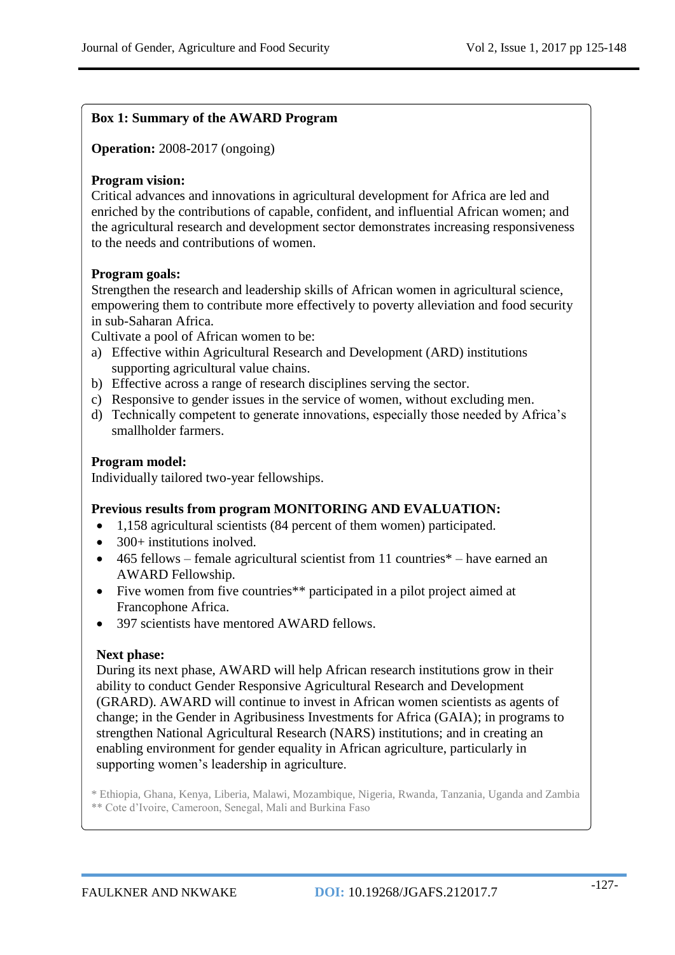## **Box 1: Summary of the AWARD Program**

**Operation:** 2008-2017 (ongoing)

#### **Program vision:**

Critical advances and innovations in agricultural development for Africa are led and enriched by the contributions of capable, confident, and influential African women; and the agricultural research and development sector demonstrates increasing responsiveness to the needs and contributions of women.

#### **Program goals:**

Strengthen the research and leadership skills of African women in agricultural science, empowering them to contribute more effectively to poverty alleviation and food security in sub-Saharan Africa.

Cultivate a pool of African women to be:

- a) Effective within Agricultural Research and Development (ARD) institutions supporting agricultural value chains.
- b) Effective across a range of research disciplines serving the sector.
- c) Responsive to gender issues in the service of women, without excluding men.
- d) Technically competent to generate innovations, especially those needed by Africa's smallholder farmers.

#### **Program model:**

Individually tailored two-year fellowships.

#### **Previous results from program MONITORING AND EVALUATION:**

- 1,158 agricultural scientists (84 percent of them women) participated.
- $\bullet$  300+ institutions inolved.
- $\bullet$  465 fellows female agricultural scientist from 11 countries<sup>\*</sup> have earned an AWARD Fellowship.
- Five women from five countries\*\* participated in a pilot project aimed at Francophone Africa.
- 397 scientists have mentored AWARD fellows.

## **Next phase:**

During its next phase, AWARD will help African research institutions grow in their ability to conduct Gender Responsive Agricultural Research and Development (GRARD). AWARD will continue to invest in African women scientists as agents of change; in the Gender in Agribusiness Investments for Africa (GAIA); in programs to strengthen National Agricultural Research (NARS) institutions; and in creating an enabling environment for gender equality in African agriculture, particularly in supporting women's leadership in agriculture.

\* Ethiopia, Ghana, Kenya, Liberia, Malawi, Mozambique, Nigeria, Rwanda, Tanzania, Uganda and Zambia \*\* Cote d'Ivoire, Cameroon, Senegal, Mali and Burkina Faso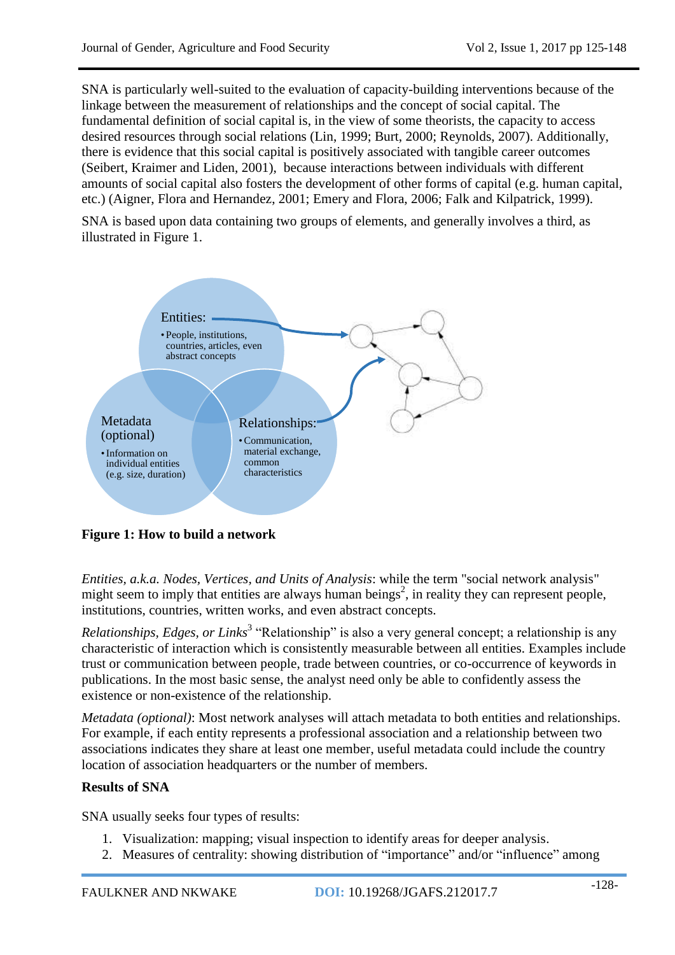SNA is particularly well-suited to the evaluation of capacity-building interventions because of the linkage between the measurement of relationships and the concept of social capital. The fundamental definition of social capital is, in the view of some theorists, the capacity to access desired resources through social relations (Lin, 1999; Burt, 2000; Reynolds, 2007). Additionally, there is evidence that this social capital is positively associated with tangible career outcomes (Seibert, Kraimer and Liden, 2001), because interactions between individuals with different amounts of social capital also fosters the development of other forms of capital (e.g. human capital, etc.) (Aigner, Flora and Hernandez, 2001; Emery and Flora, 2006; Falk and Kilpatrick, 1999).

SNA is based upon data containing two groups of elements, and generally involves a third, as illustrated in Figure 1.



**Figure 1: How to build a network**

*Entities, a.k.a. Nodes, Vertices, and Units of Analysis*: while the term "social network analysis" might seem to imply that entities are always human beings<sup>2</sup>, in reality they can represent people, institutions, countries, written works, and even abstract concepts.

*Relationships, Edges, or Links*<sup>3</sup> "Relationship" is also a very general concept; a relationship is any characteristic of interaction which is consistently measurable between all entities. Examples include trust or communication between people, trade between countries, or co-occurrence of keywords in publications. In the most basic sense, the analyst need only be able to confidently assess the existence or non-existence of the relationship.

*Metadata (optional)*: Most network analyses will attach metadata to both entities and relationships. For example, if each entity represents a professional association and a relationship between two associations indicates they share at least one member, useful metadata could include the country location of association headquarters or the number of members.

# **Results of SNA**

SNA usually seeks four types of results:

- 1. Visualization: mapping; visual inspection to identify areas for deeper analysis.
- 2. Measures of centrality: showing distribution of "importance" and/or "influence" among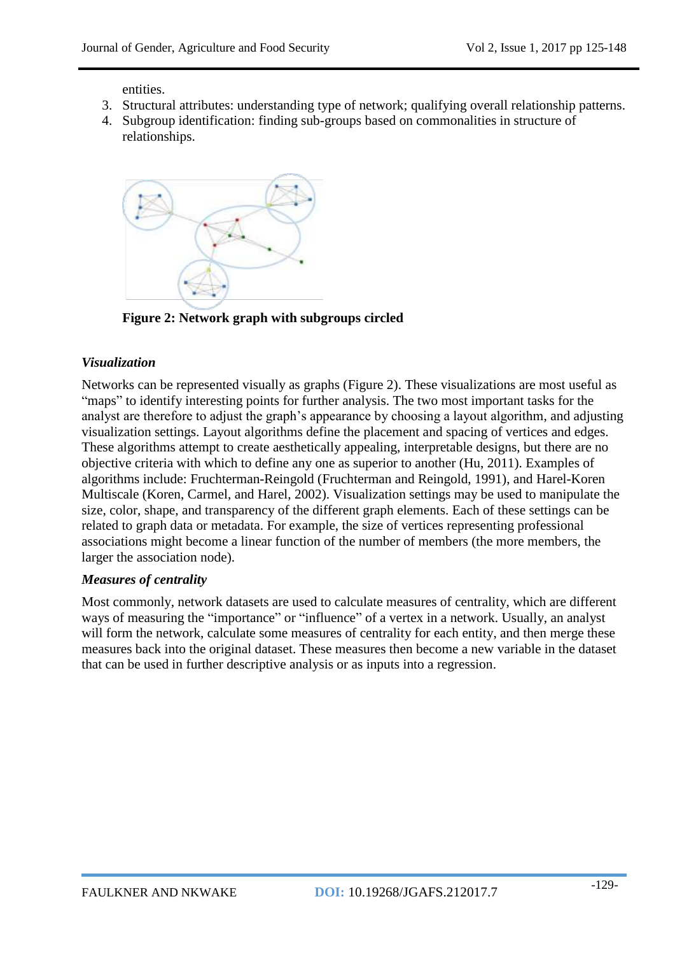entities.

- 3. Structural attributes: understanding type of network; qualifying overall relationship patterns.
- 4. Subgroup identification: finding sub-groups based on commonalities in structure of relationships.



**Figure 2: Network graph with subgroups circled**

## *Visualization*

Networks can be represented visually as graphs (Figure 2). These visualizations are most useful as "maps" to identify interesting points for further analysis. The two most important tasks for the analyst are therefore to adjust the graph's appearance by choosing a layout algorithm, and adjusting visualization settings. Layout algorithms define the placement and spacing of vertices and edges. These algorithms attempt to create aesthetically appealing, interpretable designs, but there are no objective criteria with which to define any one as superior to another (Hu, 2011). Examples of algorithms include: Fruchterman-Reingold (Fruchterman and Reingold, 1991), and Harel-Koren Multiscale (Koren, Carmel, and Harel, 2002). Visualization settings may be used to manipulate the size, color, shape, and transparency of the different graph elements. Each of these settings can be related to graph data or metadata. For example, the size of vertices representing professional associations might become a linear function of the number of members (the more members, the larger the association node).

# *Measures of centrality*

Most commonly, network datasets are used to calculate measures of centrality, which are different ways of measuring the "importance" or "influence" of a vertex in a network. Usually, an analyst will form the network, calculate some measures of centrality for each entity, and then merge these measures back into the original dataset. These measures then become a new variable in the dataset that can be used in further descriptive analysis or as inputs into a regression.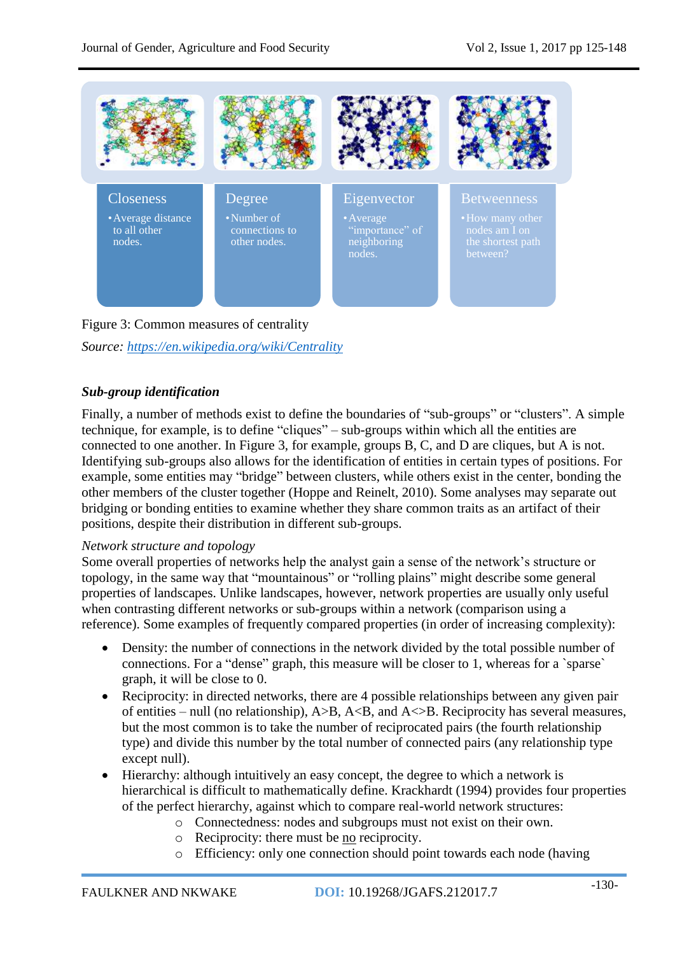

Figure 3: Common measures of centrality *Source:<https://en.wikipedia.org/wiki/Centrality>*

## *Sub-group identification*

Finally, a number of methods exist to define the boundaries of "sub-groups" or "clusters". A simple technique, for example, is to define "cliques" – sub-groups within which all the entities are connected to one another. In Figure 3, for example, groups B, C, and D are cliques, but A is not. Identifying sub-groups also allows for the identification of entities in certain types of positions. For example, some entities may "bridge" between clusters, while others exist in the center, bonding the other members of the cluster together (Hoppe and Reinelt, 2010). Some analyses may separate out bridging or bonding entities to examine whether they share common traits as an artifact of their positions, despite their distribution in different sub-groups.

#### *Network structure and topology*

Some overall properties of networks help the analyst gain a sense of the network's structure or topology, in the same way that "mountainous" or "rolling plains" might describe some general properties of landscapes. Unlike landscapes, however, network properties are usually only useful when contrasting different networks or sub-groups within a network (comparison using a reference). Some examples of frequently compared properties (in order of increasing complexity):

- Density: the number of connections in the network divided by the total possible number of connections. For a "dense" graph, this measure will be closer to 1, whereas for a `sparse` graph, it will be close to 0.
- Reciprocity: in directed networks, there are 4 possible relationships between any given pair of entities – null (no relationship),  $A > B$ ,  $A < B$ , and  $A < B$ . Reciprocity has several measures, but the most common is to take the number of reciprocated pairs (the fourth relationship type) and divide this number by the total number of connected pairs (any relationship type except null).
- Hierarchy: although intuitively an easy concept, the degree to which a network is hierarchical is difficult to mathematically define. Krackhardt (1994) provides four properties of the perfect hierarchy, against which to compare real-world network structures:
	- o Connectedness: nodes and subgroups must not exist on their own.
	- o Reciprocity: there must be no reciprocity.
	- o Efficiency: only one connection should point towards each node (having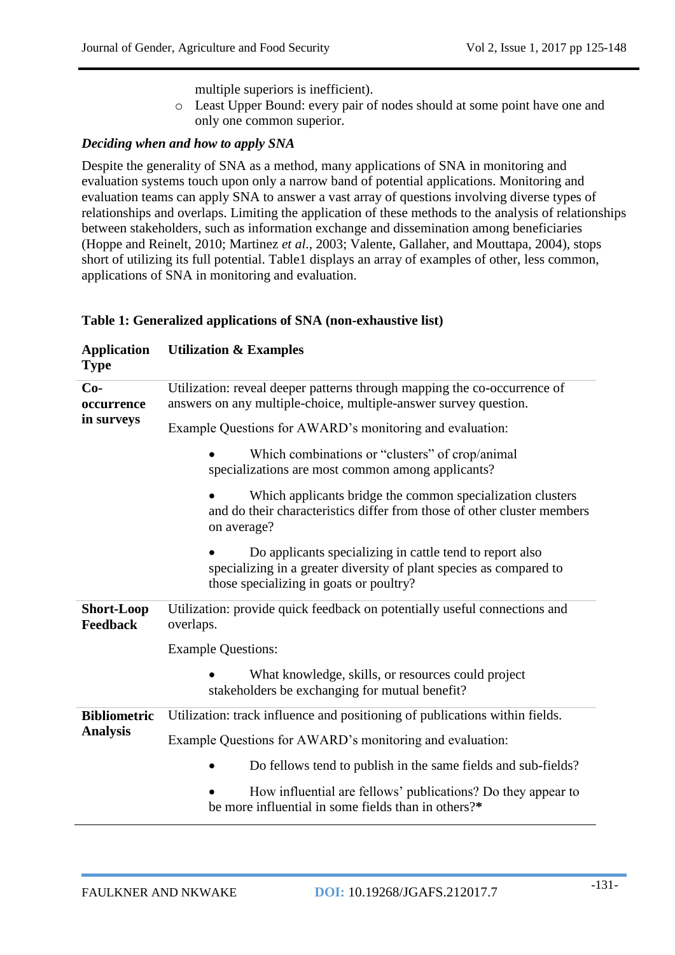multiple superiors is inefficient).

o Least Upper Bound: every pair of nodes should at some point have one and only one common superior.

#### *Deciding when and how to apply SNA*

Despite the generality of SNA as a method, many applications of SNA in monitoring and evaluation systems touch upon only a narrow band of potential applications. Monitoring and evaluation teams can apply SNA to answer a vast array of questions involving diverse types of relationships and overlaps. Limiting the application of these methods to the analysis of relationships between stakeholders, such as information exchange and dissemination among beneficiaries (Hoppe and Reinelt, 2010; Martinez *et al*., 2003; Valente, Gallaher, and Mouttapa, 2004), stops short of utilizing its full potential. Table1 displays an array of examples of other, less common, applications of SNA in monitoring and evaluation.

#### **Table 1: Generalized applications of SNA (non-exhaustive list)**

| <b>Application</b><br><b>Type</b>    | <b>Utilization &amp; Examples</b>                                                                                                                                          |  |  |  |
|--------------------------------------|----------------------------------------------------------------------------------------------------------------------------------------------------------------------------|--|--|--|
| $Co-$<br>occurrence                  | Utilization: reveal deeper patterns through mapping the co-occurrence of<br>answers on any multiple-choice, multiple-answer survey question.                               |  |  |  |
| in surveys                           | Example Questions for AWARD's monitoring and evaluation:                                                                                                                   |  |  |  |
|                                      | Which combinations or "clusters" of crop/animal<br>specializations are most common among applicants?                                                                       |  |  |  |
|                                      | Which applicants bridge the common specialization clusters<br>and do their characteristics differ from those of other cluster members<br>on average?                       |  |  |  |
|                                      | Do applicants specializing in cattle tend to report also<br>specializing in a greater diversity of plant species as compared to<br>those specializing in goats or poultry? |  |  |  |
| <b>Short-Loop</b><br><b>Feedback</b> | Utilization: provide quick feedback on potentially useful connections and<br>overlaps.                                                                                     |  |  |  |
|                                      | <b>Example Questions:</b>                                                                                                                                                  |  |  |  |
|                                      | What knowledge, skills, or resources could project<br>stakeholders be exchanging for mutual benefit?                                                                       |  |  |  |
| <b>Bibliometric</b>                  | Utilization: track influence and positioning of publications within fields.                                                                                                |  |  |  |
| <b>Analysis</b>                      | Example Questions for AWARD's monitoring and evaluation:                                                                                                                   |  |  |  |
|                                      | Do fellows tend to publish in the same fields and sub-fields?                                                                                                              |  |  |  |
|                                      | How influential are fellows' publications? Do they appear to<br>be more influential in some fields than in others?*                                                        |  |  |  |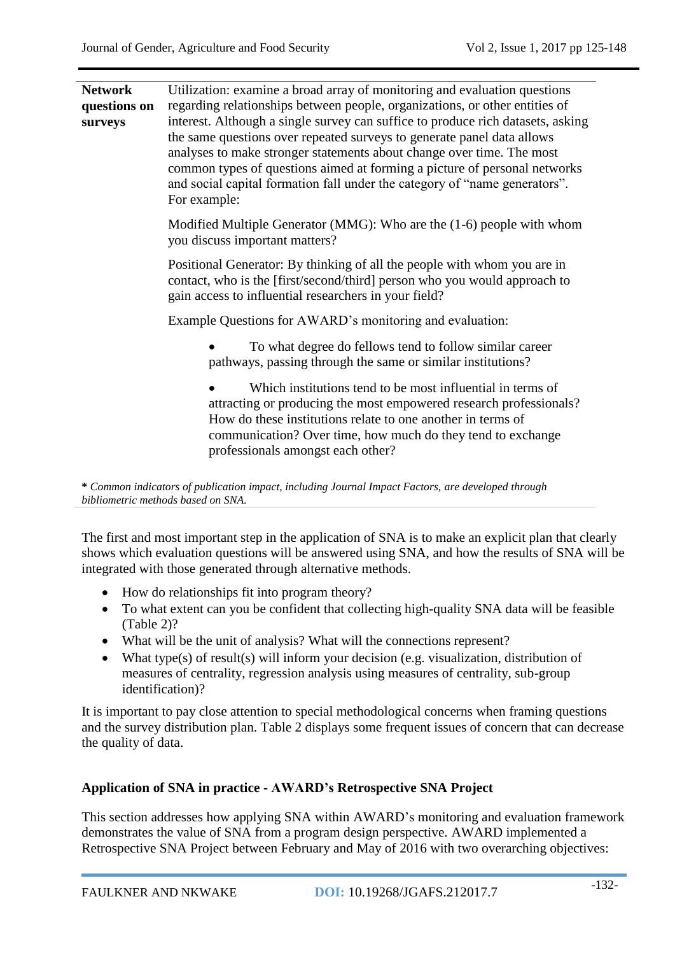| <b>Network</b><br>questions on<br>surveys | Utilization: examine a broad array of monitoring and evaluation questions<br>regarding relationships between people, organizations, or other entities of<br>interest. Although a single survey can suffice to produce rich datasets, asking<br>the same questions over repeated surveys to generate panel data allows<br>analyses to make stronger statements about change over time. The most<br>common types of questions aimed at forming a picture of personal networks<br>and social capital formation fall under the category of "name generators".<br>For example: |
|-------------------------------------------|---------------------------------------------------------------------------------------------------------------------------------------------------------------------------------------------------------------------------------------------------------------------------------------------------------------------------------------------------------------------------------------------------------------------------------------------------------------------------------------------------------------------------------------------------------------------------|
|                                           | Modified Multiple Generator (MMG): Who are the (1-6) people with whom<br>you discuss important matters?                                                                                                                                                                                                                                                                                                                                                                                                                                                                   |
|                                           | Positional Generator: By thinking of all the people with whom you are in<br>contact, who is the [first/second/third] person who you would approach to<br>gain access to influential researchers in your field?                                                                                                                                                                                                                                                                                                                                                            |
|                                           | Example Questions for AWARD's monitoring and evaluation:                                                                                                                                                                                                                                                                                                                                                                                                                                                                                                                  |
|                                           | To what degree do fellows tend to follow similar career<br>pathways, passing through the same or similar institutions?                                                                                                                                                                                                                                                                                                                                                                                                                                                    |
|                                           | Which institutions tend to be most influential in terms of<br>attracting or producing the most empowered research professionals?<br>How do these institutions relate to one another in terms of<br>communication? Over time, how much do they tend to exchange<br>professionals amongst each other?                                                                                                                                                                                                                                                                       |
|                                           | * Common indicators of publication impact, including Journal Impact Factors, are developed through<br>bibliometric methods based on SNA.                                                                                                                                                                                                                                                                                                                                                                                                                                  |
|                                           | $\mathbf{m}$ $\mathbf{m}$ $\mathbf{m}$ $\mathbf{m}$ $\mathbf{m}$ $\mathbf{m}$ $\mathbf{m}$ $\mathbf{m}$ $\mathbf{m}$ $\mathbf{m}$ $\mathbf{m}$ $\mathbf{m}$ $\mathbf{m}$ $\mathbf{m}$ $\mathbf{m}$ $\mathbf{m}$ $\mathbf{m}$ $\mathbf{m}$ $\mathbf{m}$ $\mathbf{m}$ $\mathbf{m}$ $\mathbf{m}$ $\mathbf{m}$ $\mathbf{m}$ $\mathbf{$<br>$11.11 - 11.11 - 11.11$                                                                                                                                                                                                             |

The first and most important step in the application of SNA is to make an explicit plan that clearly shows which evaluation questions will be answered using SNA, and how the results of SNA will be integrated with those generated through alternative methods.

- How do relationships fit into program theory?
- To what extent can you be confident that collecting high-quality SNA data will be feasible (Table 2)?
- What will be the unit of analysis? What will the connections represent?
- What type(s) of result(s) will inform your decision (e.g. visualization, distribution of measures of centrality, regression analysis using measures of centrality, sub-group identification)?

It is important to pay close attention to special methodological concerns when framing questions and the survey distribution plan. Table 2 displays some frequent issues of concern that can decrease the quality of data.

## **Application of SNA in practice - AWARD's Retrospective SNA Project**

This section addresses how applying SNA within AWARD's monitoring and evaluation framework demonstrates the value of SNA from a program design perspective. AWARD implemented a Retrospective SNA Project between February and May of 2016 with two overarching objectives: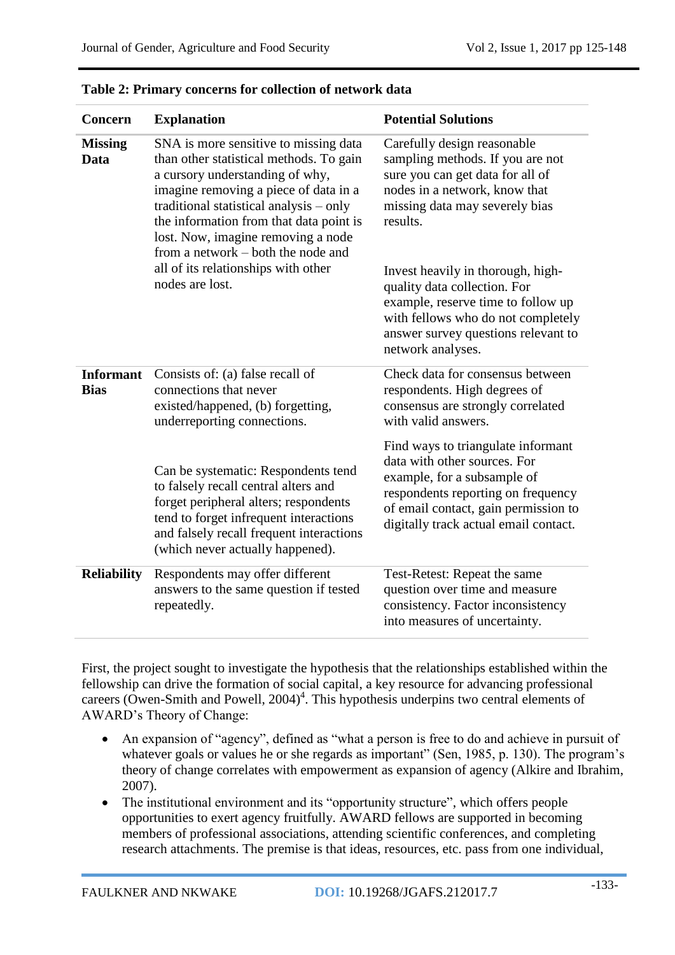| Concern                         | <b>Explanation</b>                                                                                                                                                                                                                                                                                                                                                                       | <b>Potential Solutions</b>                                                                                                                                                                                                                                                                                                                                                                      |
|---------------------------------|------------------------------------------------------------------------------------------------------------------------------------------------------------------------------------------------------------------------------------------------------------------------------------------------------------------------------------------------------------------------------------------|-------------------------------------------------------------------------------------------------------------------------------------------------------------------------------------------------------------------------------------------------------------------------------------------------------------------------------------------------------------------------------------------------|
| <b>Missing</b><br>Data          | SNA is more sensitive to missing data<br>than other statistical methods. To gain<br>a cursory understanding of why,<br>imagine removing a piece of data in a<br>traditional statistical analysis - only<br>the information from that data point is<br>lost. Now, imagine removing a node<br>from a network – both the node and<br>all of its relationships with other<br>nodes are lost. | Carefully design reasonable<br>sampling methods. If you are not<br>sure you can get data for all of<br>nodes in a network, know that<br>missing data may severely bias<br>results.<br>Invest heavily in thorough, high-<br>quality data collection. For<br>example, reserve time to follow up<br>with fellows who do not completely<br>answer survey questions relevant to<br>network analyses. |
| <b>Informant</b><br><b>Bias</b> | Consists of: (a) false recall of<br>connections that never<br>existed/happened, (b) forgetting,<br>underreporting connections.                                                                                                                                                                                                                                                           | Check data for consensus between<br>respondents. High degrees of<br>consensus are strongly correlated<br>with valid answers.                                                                                                                                                                                                                                                                    |
|                                 | Can be systematic: Respondents tend<br>to falsely recall central alters and<br>forget peripheral alters; respondents<br>tend to forget infrequent interactions<br>and falsely recall frequent interactions<br>(which never actually happened).                                                                                                                                           | Find ways to triangulate informant<br>data with other sources. For<br>example, for a subsample of<br>respondents reporting on frequency<br>of email contact, gain permission to<br>digitally track actual email contact.                                                                                                                                                                        |
| <b>Reliability</b>              | Respondents may offer different<br>answers to the same question if tested<br>repeatedly.                                                                                                                                                                                                                                                                                                 | Test-Retest: Repeat the same<br>question over time and measure<br>consistency. Factor inconsistency<br>into measures of uncertainty.                                                                                                                                                                                                                                                            |

First, the project sought to investigate the hypothesis that the relationships established within the fellowship can drive the formation of social capital, a key resource for advancing professional careers (Owen-Smith and Powell, 2004) 4 . This hypothesis underpins two central elements of AWARD's Theory of Change:

- An expansion of "agency", defined as "what a person is free to do and achieve in pursuit of whatever goals or values he or she regards as important" (Sen, 1985, p. 130). The program's theory of change correlates with empowerment as expansion of agency (Alkire and Ibrahim, 2007).
- The institutional environment and its "opportunity structure", which offers people opportunities to exert agency fruitfully. AWARD fellows are supported in becoming members of professional associations, attending scientific conferences, and completing research attachments. The premise is that ideas, resources, etc. pass from one individual,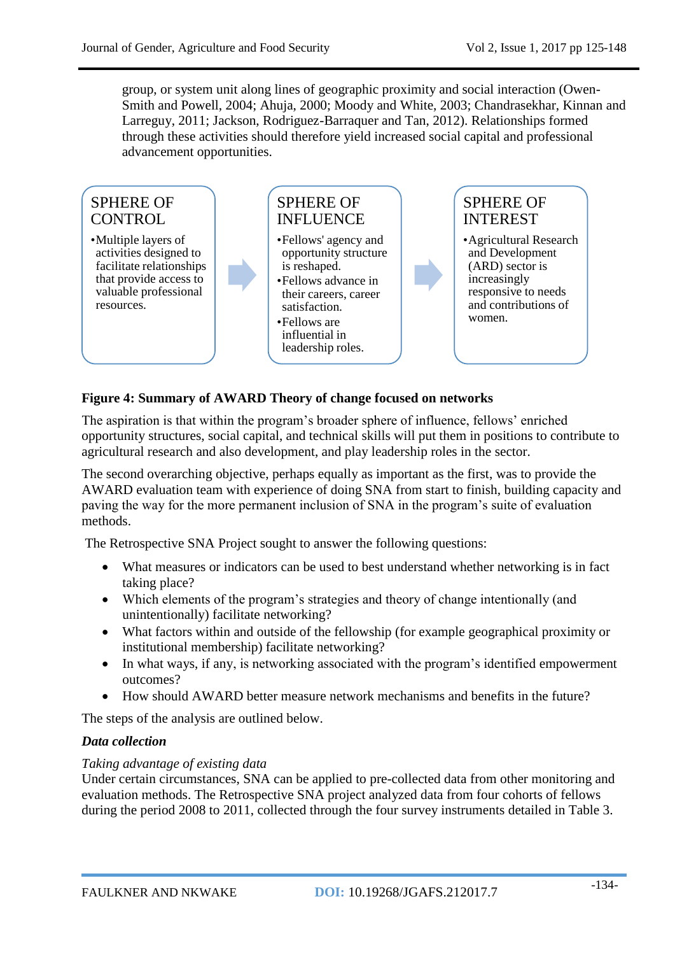group, or system unit along lines of geographic proximity and social interaction (Owen-Smith and Powell, 2004; Ahuja, 2000; Moody and White, 2003; Chandrasekhar, Kinnan and Larreguy, 2011; Jackson, Rodriguez-Barraquer and Tan, 2012). Relationships formed through these activities should therefore yield increased social capital and professional advancement opportunities.



## **Figure 4: Summary of AWARD Theory of change focused on networks**

The aspiration is that within the program's broader sphere of influence, fellows' enriched opportunity structures, social capital, and technical skills will put them in positions to contribute to agricultural research and also development, and play leadership roles in the sector.

The second overarching objective, perhaps equally as important as the first, was to provide the AWARD evaluation team with experience of doing SNA from start to finish, building capacity and paving the way for the more permanent inclusion of SNA in the program's suite of evaluation methods.

The Retrospective SNA Project sought to answer the following questions:

- What measures or indicators can be used to best understand whether networking is in fact taking place?
- Which elements of the program's strategies and theory of change intentionally (and unintentionally) facilitate networking?
- What factors within and outside of the fellowship (for example geographical proximity or institutional membership) facilitate networking?
- In what ways, if any, is networking associated with the program's identified empowerment outcomes?
- How should AWARD better measure network mechanisms and benefits in the future?

The steps of the analysis are outlined below.

#### *Data collection*

#### *Taking advantage of existing data*

Under certain circumstances, SNA can be applied to pre-collected data from other monitoring and evaluation methods. The Retrospective SNA project analyzed data from four cohorts of fellows during the period 2008 to 2011, collected through the four survey instruments detailed in Table 3.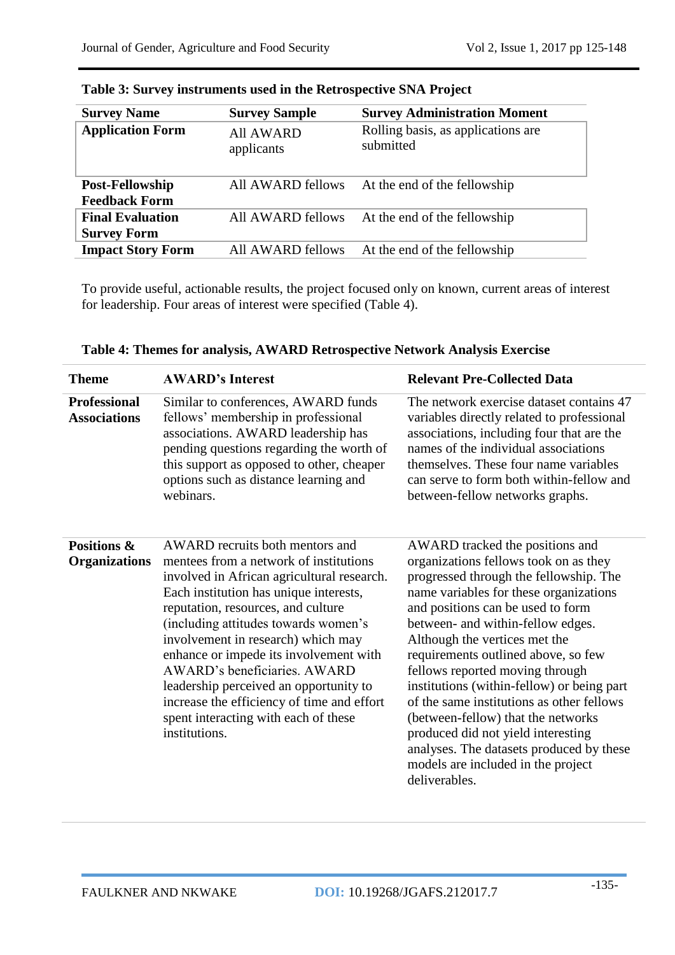| <b>Survey Name</b>                      | <b>Survey Sample</b>           | <b>Survey Administration Moment</b>             |
|-----------------------------------------|--------------------------------|-------------------------------------------------|
| <b>Application Form</b>                 | <b>All AWARD</b><br>applicants | Rolling basis, as applications are<br>submitted |
| Post-Fellowship<br><b>Feedback Form</b> | All AWARD fellows              | At the end of the fellowship                    |
| <b>Final Evaluation</b>                 | All AWARD fellows              | At the end of the fellowship                    |
| <b>Survey Form</b>                      |                                |                                                 |
| <b>Impact Story Form</b>                | All AWARD fellows              | At the end of the fellowship                    |

|  | Table 3: Survey instruments used in the Retrospective SNA Project |  |  |  |  |  |
|--|-------------------------------------------------------------------|--|--|--|--|--|
|--|-------------------------------------------------------------------|--|--|--|--|--|

To provide useful, actionable results, the project focused only on known, current areas of interest for leadership. Four areas of interest were specified (Table 4).

| <b>Theme</b>                               | <b>AWARD's Interest</b>                                                                                                                                                                                                                                                                                                                                                                                                                                                                                          | <b>Relevant Pre-Collected Data</b>                                                                                                                                                                                                                                                                                                                                                                                                                                                                                                                                                                                          |
|--------------------------------------------|------------------------------------------------------------------------------------------------------------------------------------------------------------------------------------------------------------------------------------------------------------------------------------------------------------------------------------------------------------------------------------------------------------------------------------------------------------------------------------------------------------------|-----------------------------------------------------------------------------------------------------------------------------------------------------------------------------------------------------------------------------------------------------------------------------------------------------------------------------------------------------------------------------------------------------------------------------------------------------------------------------------------------------------------------------------------------------------------------------------------------------------------------------|
| <b>Professional</b><br><b>Associations</b> | Similar to conferences, AWARD funds<br>fellows' membership in professional<br>associations. AWARD leadership has<br>pending questions regarding the worth of<br>this support as opposed to other, cheaper<br>options such as distance learning and<br>webinars.                                                                                                                                                                                                                                                  | The network exercise dataset contains 47<br>variables directly related to professional<br>associations, including four that are the<br>names of the individual associations<br>themselves. These four name variables<br>can serve to form both within-fellow and<br>between-fellow networks graphs.                                                                                                                                                                                                                                                                                                                         |
| Positions &<br><b>Organizations</b>        | AWARD recruits both mentors and<br>mentees from a network of institutions<br>involved in African agricultural research.<br>Each institution has unique interests,<br>reputation, resources, and culture<br>(including attitudes towards women's<br>involvement in research) which may<br>enhance or impede its involvement with<br>AWARD's beneficiaries. AWARD<br>leadership perceived an opportunity to<br>increase the efficiency of time and effort<br>spent interacting with each of these<br>institutions. | AWARD tracked the positions and<br>organizations fellows took on as they<br>progressed through the fellowship. The<br>name variables for these organizations<br>and positions can be used to form<br>between- and within-fellow edges.<br>Although the vertices met the<br>requirements outlined above, so few<br>fellows reported moving through<br>institutions (within-fellow) or being part<br>of the same institutions as other fellows<br>(between-fellow) that the networks<br>produced did not yield interesting<br>analyses. The datasets produced by these<br>models are included in the project<br>deliverables. |

**Table 4: Themes for analysis, AWARD Retrospective Network Analysis Exercise**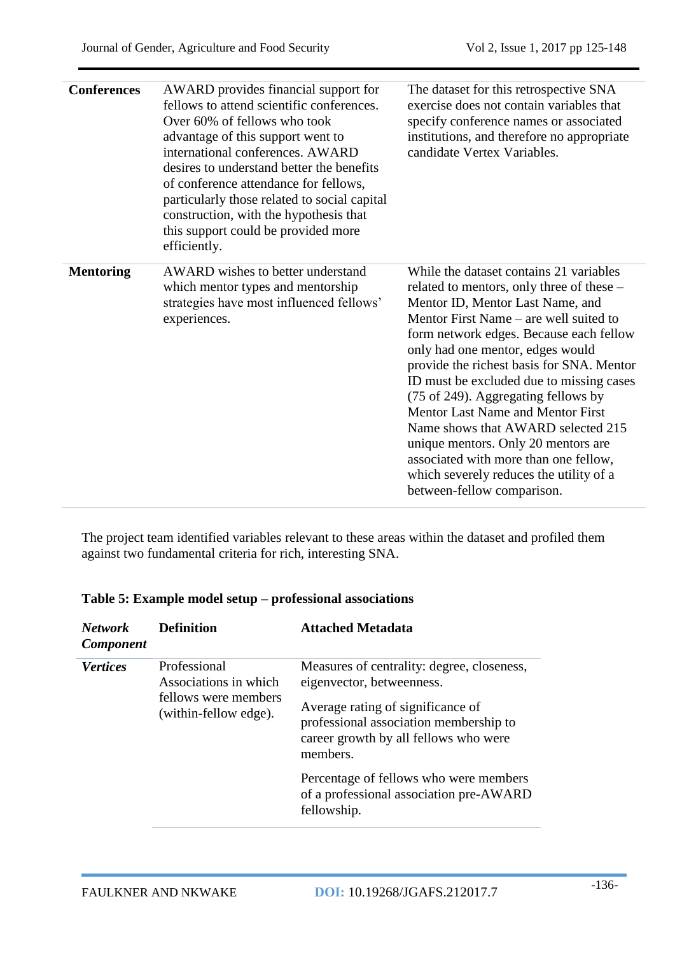| <b>Conferences</b> | AWARD provides financial support for<br>fellows to attend scientific conferences.<br>Over 60% of fellows who took<br>advantage of this support went to<br>international conferences. AWARD<br>desires to understand better the benefits<br>of conference attendance for fellows,<br>particularly those related to social capital<br>construction, with the hypothesis that<br>this support could be provided more<br>efficiently. | The dataset for this retrospective SNA<br>exercise does not contain variables that<br>specify conference names or associated<br>institutions, and therefore no appropriate<br>candidate Vertex Variables.                                                                                                                                                                                                                                                                                                                                                                                                                    |
|--------------------|-----------------------------------------------------------------------------------------------------------------------------------------------------------------------------------------------------------------------------------------------------------------------------------------------------------------------------------------------------------------------------------------------------------------------------------|------------------------------------------------------------------------------------------------------------------------------------------------------------------------------------------------------------------------------------------------------------------------------------------------------------------------------------------------------------------------------------------------------------------------------------------------------------------------------------------------------------------------------------------------------------------------------------------------------------------------------|
| <b>Mentoring</b>   | AWARD wishes to better understand<br>which mentor types and mentorship<br>strategies have most influenced fellows'<br>experiences.                                                                                                                                                                                                                                                                                                | While the dataset contains 21 variables<br>related to mentors, only three of these -<br>Mentor ID, Mentor Last Name, and<br>Mentor First Name – are well suited to<br>form network edges. Because each fellow<br>only had one mentor, edges would<br>provide the richest basis for SNA. Mentor<br>ID must be excluded due to missing cases<br>(75 of 249). Aggregating fellows by<br><b>Mentor Last Name and Mentor First</b><br>Name shows that AWARD selected 215<br>unique mentors. Only 20 mentors are<br>associated with more than one fellow,<br>which severely reduces the utility of a<br>between-fellow comparison. |

The project team identified variables relevant to these areas within the dataset and profiled them against two fundamental criteria for rich, interesting SNA.

# **Table 5: Example model setup – professional associations**

| <b>Network</b><br><b>Component</b> | <b>Definition</b>                             | <b>Attached Metadata</b>                                                                                                         |
|------------------------------------|-----------------------------------------------|----------------------------------------------------------------------------------------------------------------------------------|
| <b>Vertices</b>                    | Professional<br>Associations in which         | Measures of centrality: degree, closeness,<br>eigenvector, betweenness.                                                          |
|                                    | fellows were members<br>(within-fellow edge). | Average rating of significance of<br>professional association membership to<br>career growth by all fellows who were<br>members. |
|                                    |                                               | Percentage of fellows who were members<br>of a professional association pre-AWARD<br>fellowship.                                 |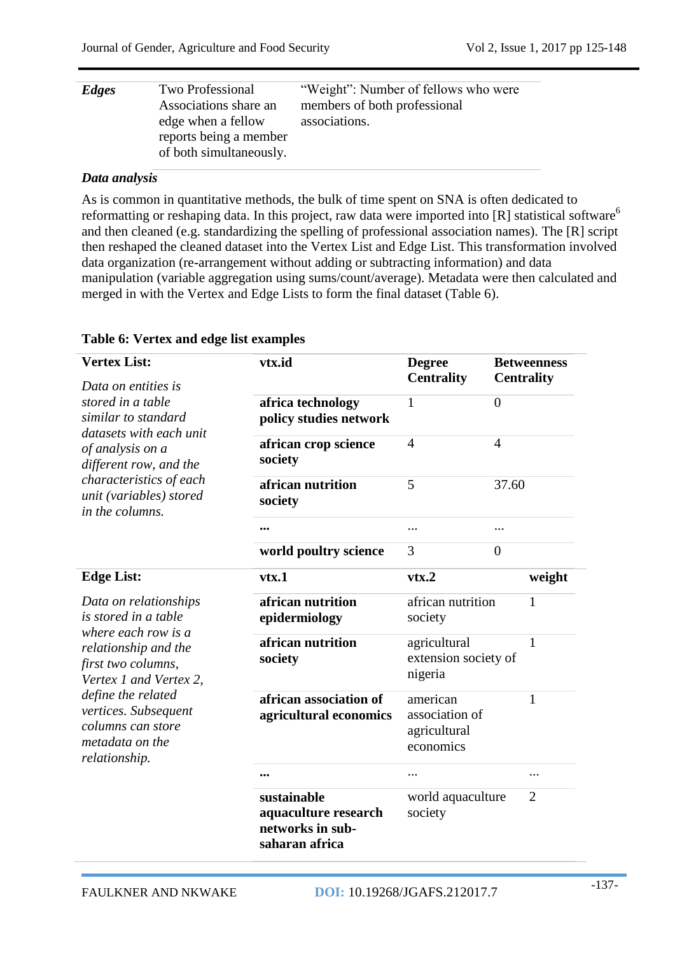| Edges | Two Professional<br>Associations share an<br>edge when a fellow<br>reports being a member<br>of both simultaneously. | "Weight": Number of fellows who were<br>members of both professional<br>associations. |
|-------|----------------------------------------------------------------------------------------------------------------------|---------------------------------------------------------------------------------------|
|-------|----------------------------------------------------------------------------------------------------------------------|---------------------------------------------------------------------------------------|

#### *Data analysis*

As is common in quantitative methods, the bulk of time spent on SNA is often dedicated to reformatting or reshaping data. In this project, raw data were imported into  $[R]$  statistical software<sup>6</sup> and then cleaned (e.g. standardizing the spelling of professional association names). The [R] script then reshaped the cleaned dataset into the Vertex List and Edge List. This transformation involved data organization (re-arrangement without adding or subtracting information) and data manipulation (variable aggregation using sums/count/average). Metadata were then calculated and merged in with the Vertex and Edge Lists to form the final dataset (Table 6).

#### **Vertex List:** *Data on entities is stored in a table similar to standard datasets with each unit of analysis on a different row, and the characteristics of each unit (variables) stored in the columns.*  **vtx.id Degree Centrality Betweenness Centrality africa technology policy studies network** 1 0 **african crop science society** 4 4 **african nutrition society** 5 37.60 **...** ... ... **world poultry science** 3 0 **Edge List:** *Data on relationships is stored in a table where each row is a relationship and the first two columns, Vertex 1 and Vertex 2, define the related vertices. Subsequent columns can store metadata on the relationship.* **vtx.1 vtx.2 weight african nutrition epidermiology** african nutrition society 1 **african nutrition society** agricultural extension society of nigeria 1 **african association of agricultural economics** american association of agricultural economics 1 **...** ... ... **sustainable aquaculture research networks in subsaharan africa** world aquaculture society  $\mathcal{D}_{\alpha}$

#### **Table 6: Vertex and edge list examples**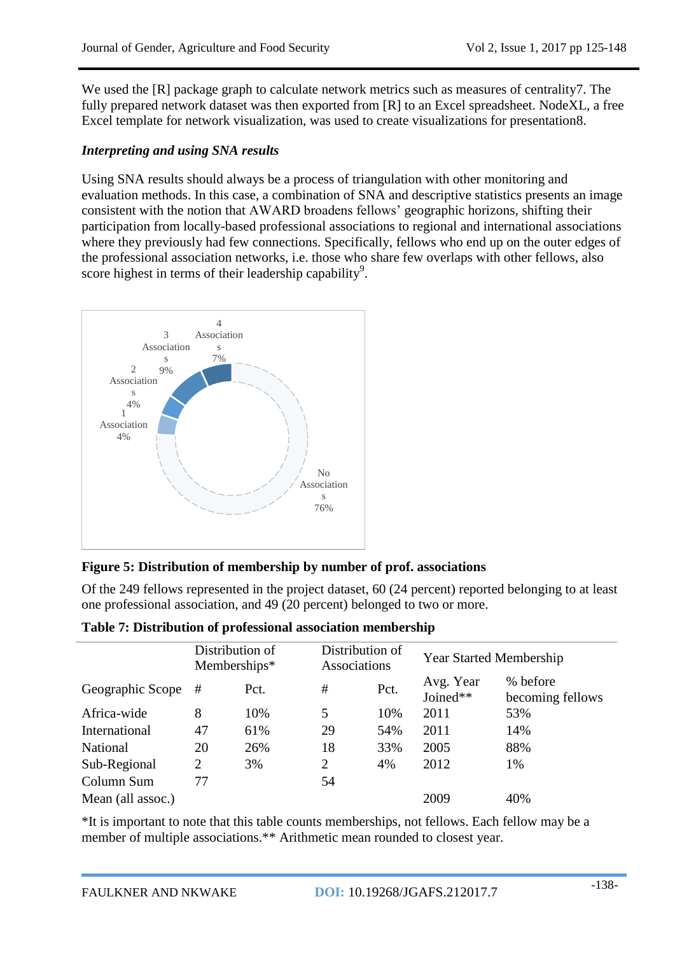We used the [R] package graph to calculate network metrics such as measures of centrality7. The fully prepared network dataset was then exported from [R] to an Excel spreadsheet. NodeXL, a free Excel template for network visualization, was used to create visualizations for presentation8.

## *Interpreting and using SNA results*

Using SNA results should always be a process of triangulation with other monitoring and evaluation methods. In this case, a combination of SNA and descriptive statistics presents an image consistent with the notion that AWARD broadens fellows' geographic horizons, shifting their participation from locally-based professional associations to regional and international associations where they previously had few connections. Specifically, fellows who end up on the outer edges of the professional association networks, i.e. those who share few overlaps with other fellows, also score highest in terms of their leadership capability<sup>9</sup>.



# **Figure 5: Distribution of membership by number of prof. associations**

Of the 249 fellows represented in the project dataset, 60 (24 percent) reported belonging to at least one professional association, and 49 (20 percent) belonged to two or more.

|                   | Distribution of<br>Memberships* |      | Distribution of<br>Associations |      | <b>Year Started Membership</b> |                              |
|-------------------|---------------------------------|------|---------------------------------|------|--------------------------------|------------------------------|
| Geographic Scope  | #                               | Pct. | $\#$                            | Pct. | Avg. Year<br>Joined**          | % before<br>becoming fellows |
| Africa-wide       | 8                               | 10%  | 5                               | 10%  | 2011                           | 53%                          |
| International     | 47                              | 61%  | 29                              | 54%  | 2011                           | 14%                          |
| <b>National</b>   | 20                              | 26%  | 18                              | 33%  | 2005                           | 88%                          |
| Sub-Regional      | $\overline{2}$                  | 3%   | 2                               | 4%   | 2012                           | 1%                           |
| Column Sum        | 77                              |      | 54                              |      |                                |                              |
| Mean (all assoc.) |                                 |      |                                 |      | 2009                           | 40%                          |

**Table 7: Distribution of professional association membership**

\*It is important to note that this table counts memberships, not fellows. Each fellow may be a member of multiple associations.\*\* Arithmetic mean rounded to closest year.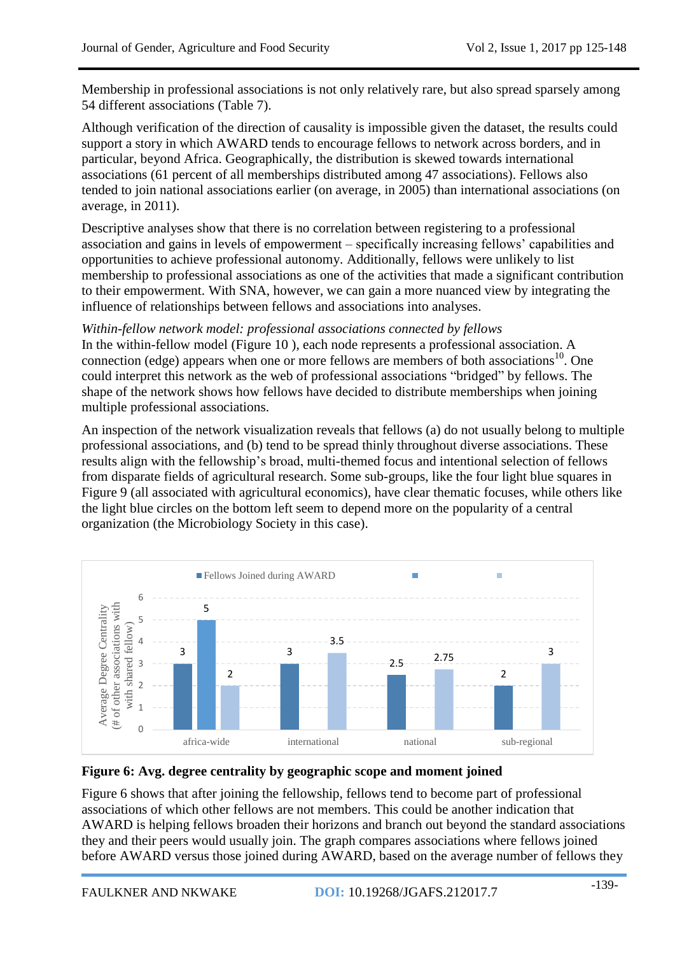Membership in professional associations is not only relatively rare, but also spread sparsely among 54 different associations (Table 7).

Although verification of the direction of causality is impossible given the dataset, the results could support a story in which AWARD tends to encourage fellows to network across borders, and in particular, beyond Africa. Geographically, the distribution is skewed towards international associations (61 percent of all memberships distributed among 47 associations). Fellows also tended to join national associations earlier (on average, in 2005) than international associations (on average, in 2011).

Descriptive analyses show that there is no correlation between registering to a professional association and gains in levels of empowerment – specifically increasing fellows' capabilities and opportunities to achieve professional autonomy. Additionally, fellows were unlikely to list membership to professional associations as one of the activities that made a significant contribution to their empowerment. With SNA, however, we can gain a more nuanced view by integrating the influence of relationships between fellows and associations into analyses.

#### *Within-fellow network model: professional associations connected by fellows*

In the within-fellow model (Figure 10 ), each node represents a professional association. A connection (edge) appears when one or more fellows are members of both associations<sup>10</sup>. One could interpret this network as the web of professional associations "bridged" by fellows. The shape of the network shows how fellows have decided to distribute memberships when joining multiple professional associations.

An inspection of the network visualization reveals that fellows (a) do not usually belong to multiple professional associations, and (b) tend to be spread thinly throughout diverse associations. These results align with the fellowship's broad, multi-themed focus and intentional selection of fellows from disparate fields of agricultural research. Some sub-groups, like the four light blue squares in Figure 9 (all associated with agricultural economics), have clear thematic focuses, while others like the light blue circles on the bottom left seem to depend more on the popularity of a central organization (the Microbiology Society in this case).



## **Figure 6: Avg. degree centrality by geographic scope and moment joined**

Figure 6 shows that after joining the fellowship, fellows tend to become part of professional associations of which other fellows are not members. This could be another indication that AWARD is helping fellows broaden their horizons and branch out beyond the standard associations they and their peers would usually join. The graph compares associations where fellows joined before AWARD versus those joined during AWARD, based on the average number of fellows they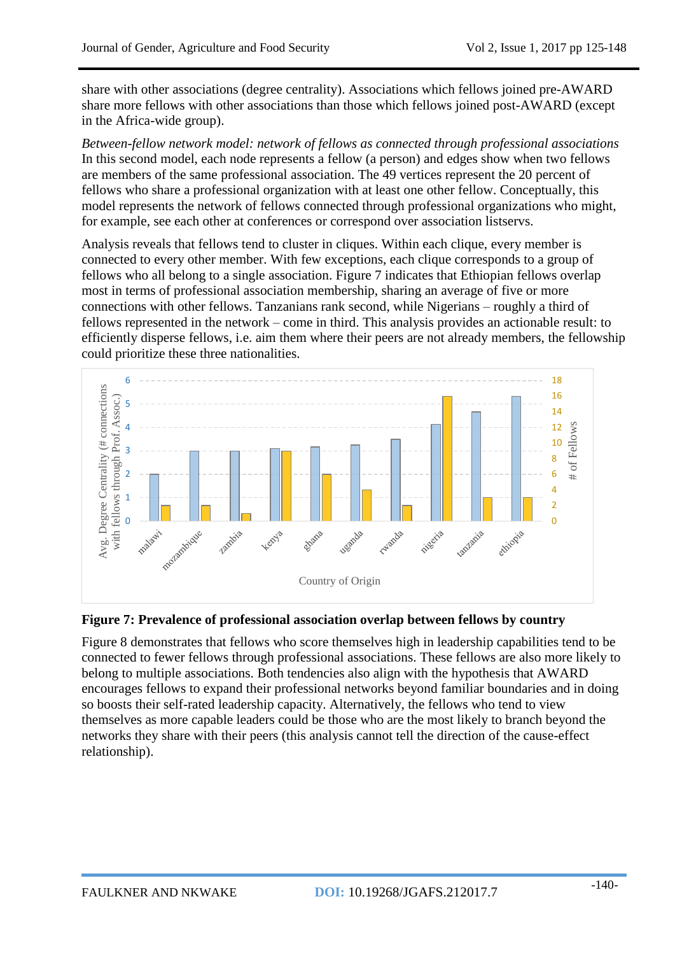share with other associations (degree centrality). Associations which fellows joined pre-AWARD share more fellows with other associations than those which fellows joined post-AWARD (except in the Africa-wide group).

*Between-fellow network model: network of fellows as connected through professional associations*  In this second model, each node represents a fellow (a person) and edges show when two fellows are members of the same professional association. The 49 vertices represent the 20 percent of fellows who share a professional organization with at least one other fellow. Conceptually, this model represents the network of fellows connected through professional organizations who might, for example, see each other at conferences or correspond over association listservs.

Analysis reveals that fellows tend to cluster in cliques. Within each clique, every member is connected to every other member. With few exceptions, each clique corresponds to a group of fellows who all belong to a single association. Figure 7 indicates that Ethiopian fellows overlap most in terms of professional association membership, sharing an average of five or more connections with other fellows. Tanzanians rank second, while Nigerians – roughly a third of fellows represented in the network – come in third. This analysis provides an actionable result: to efficiently disperse fellows, i.e. aim them where their peers are not already members, the fellowship could prioritize these three nationalities.



#### **Figure 7: Prevalence of professional association overlap between fellows by country**

Figure 8 demonstrates that fellows who score themselves high in leadership capabilities tend to be connected to fewer fellows through professional associations. These fellows are also more likely to belong to multiple associations. Both tendencies also align with the hypothesis that AWARD encourages fellows to expand their professional networks beyond familiar boundaries and in doing so boosts their self-rated leadership capacity. Alternatively, the fellows who tend to view themselves as more capable leaders could be those who are the most likely to branch beyond the networks they share with their peers (this analysis cannot tell the direction of the cause-effect relationship).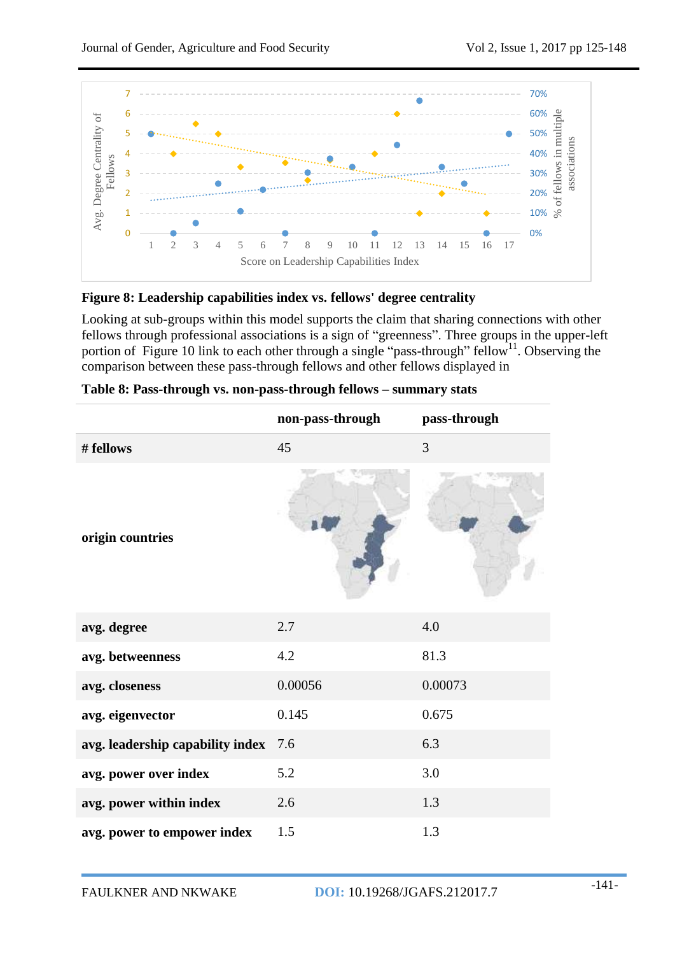

#### **Figure 8: Leadership capabilities index vs. fellows' degree centrality**

Looking at sub-groups within this model supports the claim that sharing connections with other fellows through professional associations is a sign of "greenness". Three groups in the upper-left portion of Figure 10 link to each other through a single "pass-through" fellow<sup>11</sup>. Observing the comparison between these pass-through fellows and other fellows displayed in

|                                  | non-pass-through | pass-through |
|----------------------------------|------------------|--------------|
| # fellows                        | 45               | 3            |
| origin countries                 |                  |              |
| avg. degree                      | 2.7              | 4.0          |
| avg. betweenness                 | 4.2              | 81.3         |
| avg. closeness                   | 0.00056          | 0.00073      |
| avg. eigenvector                 | 0.145            | 0.675        |
| avg. leadership capability index | 7.6              | 6.3          |
| avg. power over index            | 5.2              | 3.0          |
| avg. power within index          | 2.6              | 1.3          |
| avg. power to empower index      | 1.5              | 1.3          |

| Table 8: Pass-through vs. non-pass-through fellows - summary stats |  |  |  |
|--------------------------------------------------------------------|--|--|--|
|                                                                    |  |  |  |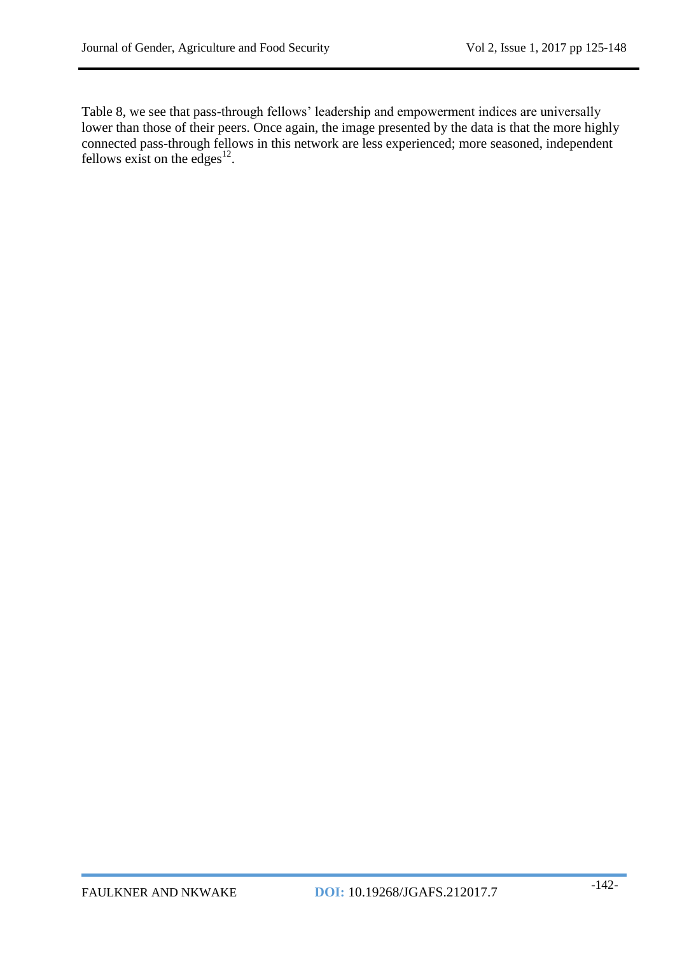Table 8, we see that pass-through fellows' leadership and empowerment indices are universally lower than those of their peers. Once again, the image presented by the data is that the more highly connected pass-through fellows in this network are less experienced; more seasoned, independent fellows exist on the edges $^{12}$ .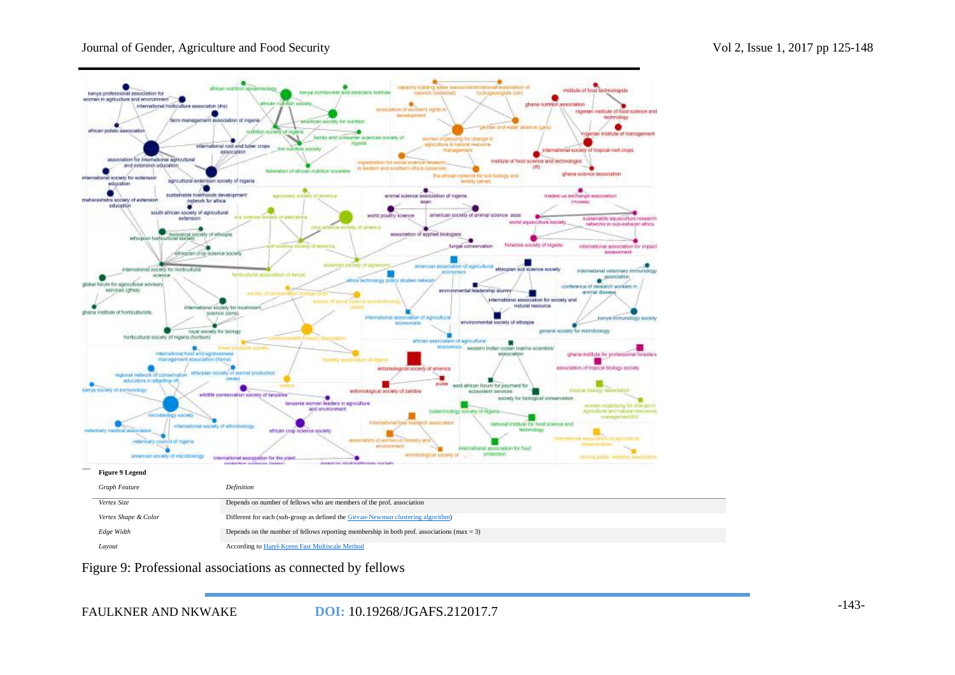

Figure 9: Professional associations as connected by fellows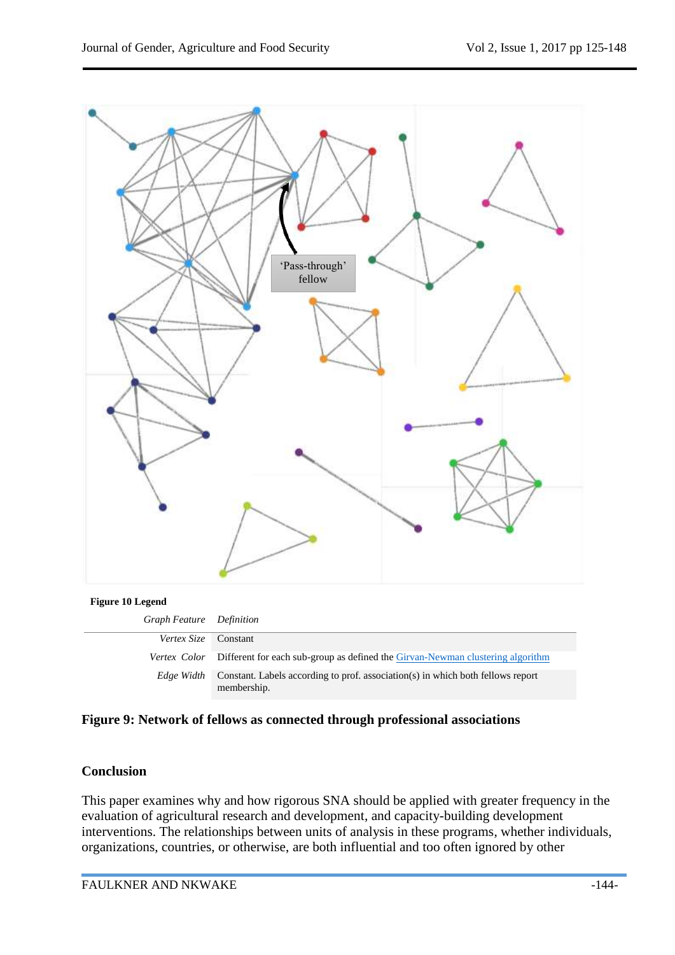

| Graph Feature Definition    |                                                                                                |
|-----------------------------|------------------------------------------------------------------------------------------------|
| <i>Vertex Size</i> Constant |                                                                                                |
|                             | Vertex Color Different for each sub-group as defined the Girvan-Newman clustering algorithm    |
| Edge Width                  | Constant. Labels according to prof. association(s) in which both fellows report<br>membership. |

**Figure 9: Network of fellows as connected through professional associations**

## **Conclusion**

This paper examines why and how rigorous SNA should be applied with greater frequency in the evaluation of agricultural research and development, and capacity-building development interventions. The relationships between units of analysis in these programs, whether individuals, organizations, countries, or otherwise, are both influential and too often ignored by other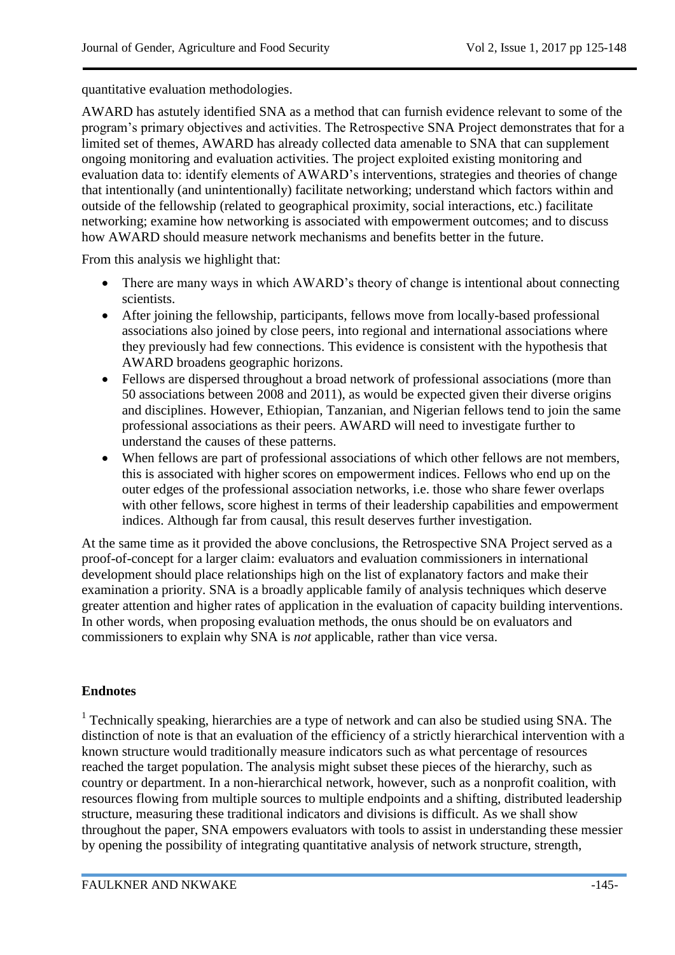quantitative evaluation methodologies.

AWARD has astutely identified SNA as a method that can furnish evidence relevant to some of the program's primary objectives and activities. The Retrospective SNA Project demonstrates that for a limited set of themes, AWARD has already collected data amenable to SNA that can supplement ongoing monitoring and evaluation activities. The project exploited existing monitoring and evaluation data to: identify elements of AWARD's interventions, strategies and theories of change that intentionally (and unintentionally) facilitate networking; understand which factors within and outside of the fellowship (related to geographical proximity, social interactions, etc.) facilitate networking; examine how networking is associated with empowerment outcomes; and to discuss how AWARD should measure network mechanisms and benefits better in the future.

From this analysis we highlight that:

- There are many ways in which AWARD's theory of change is intentional about connecting scientists.
- After joining the fellowship, participants, fellows move from locally-based professional associations also joined by close peers, into regional and international associations where they previously had few connections. This evidence is consistent with the hypothesis that AWARD broadens geographic horizons.
- Fellows are dispersed throughout a broad network of professional associations (more than 50 associations between 2008 and 2011), as would be expected given their diverse origins and disciplines. However, Ethiopian, Tanzanian, and Nigerian fellows tend to join the same professional associations as their peers. AWARD will need to investigate further to understand the causes of these patterns.
- When fellows are part of professional associations of which other fellows are not members, this is associated with higher scores on empowerment indices. Fellows who end up on the outer edges of the professional association networks, i.e. those who share fewer overlaps with other fellows, score highest in terms of their leadership capabilities and empowerment indices. Although far from causal, this result deserves further investigation.

At the same time as it provided the above conclusions, the Retrospective SNA Project served as a proof-of-concept for a larger claim: evaluators and evaluation commissioners in international development should place relationships high on the list of explanatory factors and make their examination a priority. SNA is a broadly applicable family of analysis techniques which deserve greater attention and higher rates of application in the evaluation of capacity building interventions. In other words, when proposing evaluation methods, the onus should be on evaluators and commissioners to explain why SNA is *not* applicable, rather than vice versa.

# **Endnotes**

<sup>1</sup> Technically speaking, hierarchies are a type of network and can also be studied using SNA. The distinction of note is that an evaluation of the efficiency of a strictly hierarchical intervention with a known structure would traditionally measure indicators such as what percentage of resources reached the target population. The analysis might subset these pieces of the hierarchy, such as country or department. In a non-hierarchical network, however, such as a nonprofit coalition, with resources flowing from multiple sources to multiple endpoints and a shifting, distributed leadership structure, measuring these traditional indicators and divisions is difficult. As we shall show throughout the paper, SNA empowers evaluators with tools to assist in understanding these messier by opening the possibility of integrating quantitative analysis of network structure, strength,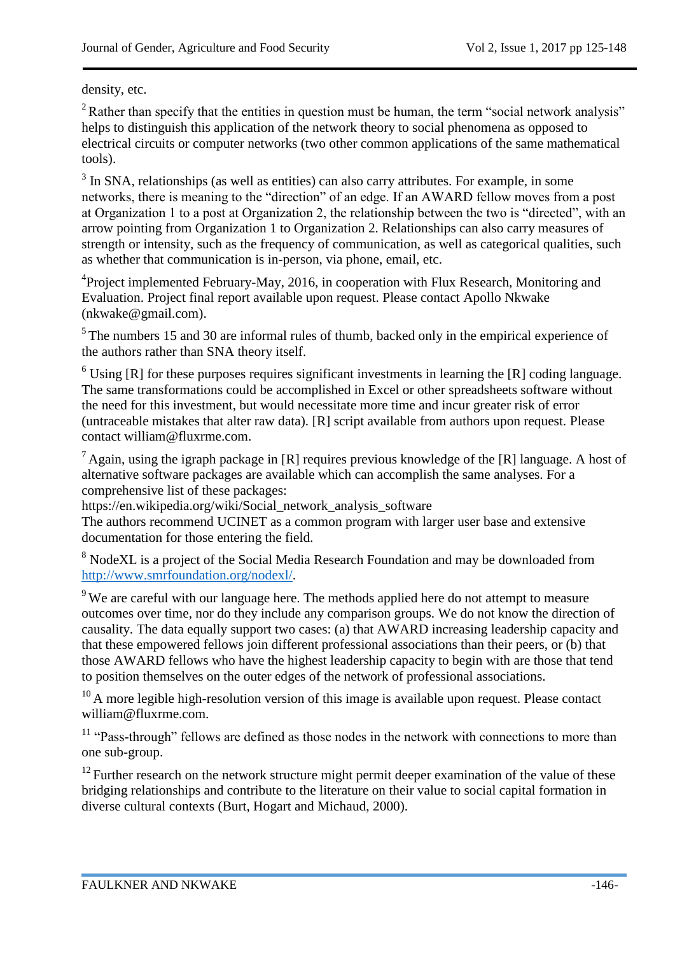density, etc.

 $2^2$  Rather than specify that the entities in question must be human, the term "social network analysis" helps to distinguish this application of the network theory to social phenomena as opposed to electrical circuits or computer networks (two other common applications of the same mathematical tools).

 $3$  In SNA, relationships (as well as entities) can also carry attributes. For example, in some networks, there is meaning to the "direction" of an edge. If an AWARD fellow moves from a post at Organization 1 to a post at Organization 2, the relationship between the two is "directed", with an arrow pointing from Organization 1 to Organization 2. Relationships can also carry measures of strength or intensity, such as the frequency of communication, as well as categorical qualities, such as whether that communication is in-person, via phone, email, etc.

<sup>4</sup>Project implemented February-May, 2016, in cooperation with Flux Research, Monitoring and Evaluation. Project final report available upon request. Please contact Apollo Nkwake (nkwake@gmail.com).

 $<sup>5</sup>$  The numbers 15 and 30 are informal rules of thumb, backed only in the empirical experience of</sup> the authors rather than SNA theory itself.

 $6$  Using [R] for these purposes requires significant investments in learning the [R] coding language. The same transformations could be accomplished in Excel or other spreadsheets software without the need for this investment, but would necessitate more time and incur greater risk of error (untraceable mistakes that alter raw data). [R] script available from authors upon request. Please contact william@fluxrme.com.

<sup>7</sup> Again, using the igraph package in [R] requires previous knowledge of the [R] language. A host of alternative software packages are available which can accomplish the same analyses. For a comprehensive list of these packages:

https://en.wikipedia.org/wiki/Social\_network\_analysis\_software

The authors recommend UCINET as a common program with larger user base and extensive documentation for those entering the field.

<sup>8</sup> NodeXL is a project of the Social Media Research Foundation and may be downloaded from [http://www.smrfoundation.org/nodexl/.](http://www.smrfoundation.org/nodexl/)

<sup>9</sup> We are careful with our language here. The methods applied here do not attempt to measure outcomes over time, nor do they include any comparison groups. We do not know the direction of causality. The data equally support two cases: (a) that AWARD increasing leadership capacity and that these empowered fellows join different professional associations than their peers, or (b) that those AWARD fellows who have the highest leadership capacity to begin with are those that tend to position themselves on the outer edges of the network of professional associations.

 $10$  A more legible high-resolution version of this image is available upon request. Please contact william@fluxrme.com.

<sup>11</sup> "Pass-through" fellows are defined as those nodes in the network with connections to more than one sub-group.

 $12$  Further research on the network structure might permit deeper examination of the value of these bridging relationships and contribute to the literature on their value to social capital formation in diverse cultural contexts (Burt, Hogart and Michaud, 2000).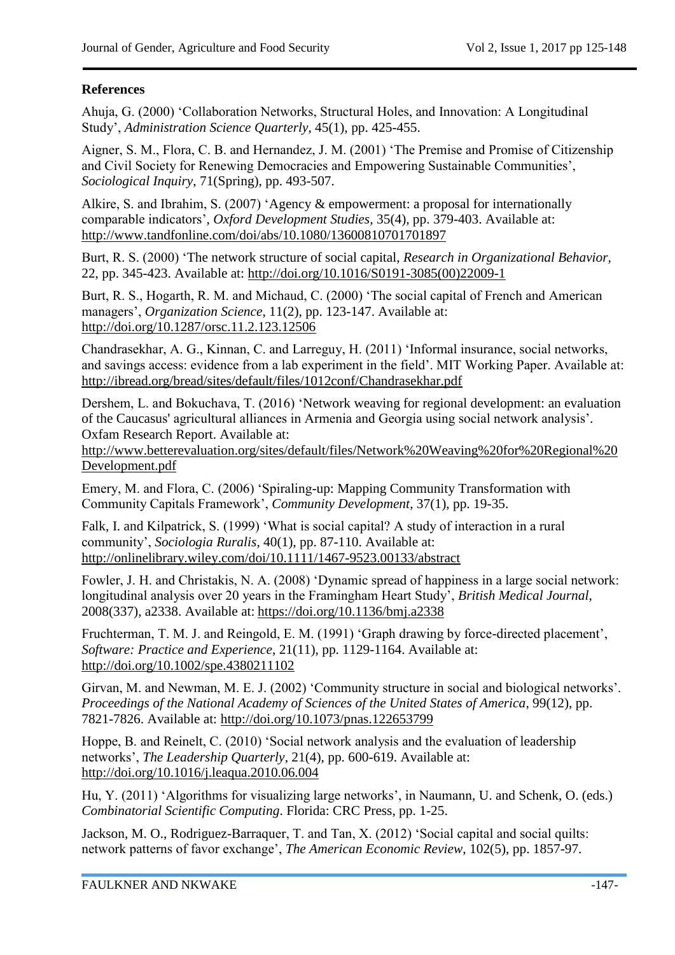# **References**

Ahuja, G. (2000) 'Collaboration Networks, Structural Holes, and Innovation: A Longitudinal Study', *Administration Science Quarterly*, 45(1), pp. 425-455.

Aigner, S. M., Flora, C. B. and Hernandez, J. M. (2001) 'The Premise and Promise of Citizenship and Civil Society for Renewing Democracies and Empowering Sustainable Communities', *Sociological Inquiry*, 71(Spring), pp. 493-507.

Alkire, S. and Ibrahim, S. (2007) 'Agency & empowerment: a proposal for internationally comparable indicators', *Oxford Development Studies,* 35(4), pp. 379-403. Available at: <http://www.tandfonline.com/doi/abs/10.1080/13600810701701897>

Burt, R. S. (2000) 'The network structure of social capital, *Research in Organizational Behavior,* 22, pp. 345-423. Available at: [http://doi.org/10.1016/S0191-3085\(00\)22009-1](http://doi.org/10.1016/S0191-3085(00)22009-1)

Burt, R. S., Hogarth, R. M. and Michaud, C. (2000) 'The social capital of French and American managers', *Organization Science*, 11(2), pp. 123-147. Available at: <http://doi.org/10.1287/orsc.11.2.123.12506>

Chandrasekhar, A. G., Kinnan, C. and Larreguy, H. (2011) 'Informal insurance, social networks, and savings access: evidence from a lab experiment in the field'. MIT Working Paper. Available at: <http://ibread.org/bread/sites/default/files/1012conf/Chandrasekhar.pdf>

Dershem, L. and Bokuchava, T. (2016) 'Network weaving for regional development: an evaluation of the Caucasus' agricultural alliances in Armenia and Georgia using social network analysis'*.*  Oxfam Research Report. Available at:

[http://www.betterevaluation.org/sites/default/files/Network%20Weaving%20for%20Regional%20](http://www.betterevaluation.org/sites/default/files/Network%20Weaving%20for%20Regional%20Development.pdf) [Development.pdf](http://www.betterevaluation.org/sites/default/files/Network%20Weaving%20for%20Regional%20Development.pdf)

Emery, M. and Flora, C. (2006) 'Spiraling-up: Mapping Community Transformation with Community Capitals Framework', *Community Development*, 37(1), pp. 19-35.

Falk, I. and Kilpatrick, S. (1999) 'What is social capital? A study of interaction in a rural community', *Sociologia Ruralis*, 40(1), pp. 87-110. Available at: <http://onlinelibrary.wiley.com/doi/10.1111/1467-9523.00133/abstract>

Fowler, J. H. and Christakis, N. A. (2008) 'Dynamic spread of happiness in a large social network: longitudinal analysis over 20 years in the Framingham Heart Study', *British Medical Journal*, 2008(337), a2338. Available at: <https://doi.org/10.1136/bmj.a2338>

Fruchterman, T. M. J. and Reingold, E. M. (1991) 'Graph drawing by force-directed placement', *Software: Practice and Experience*, 21(11), pp. 1129-1164. Available at: <http://doi.org/10.1002/spe.4380211102>

Girvan, M. and Newman, M. E. J. (2002) 'Community structure in social and biological networks'. *Proceedings of the National Academy of Sciences of the United States of America*, 99(12), pp. 7821-7826. Available at:<http://doi.org/10.1073/pnas.122653799>

Hoppe, B. and Reinelt, C. (2010) 'Social network analysis and the evaluation of leadership networks', *The Leadership Quarterly*, 21(4), pp. 600-619. Available at: <http://doi.org/10.1016/j.leaqua.2010.06.004>

Hu, Y. (2011) 'Algorithms for visualizing large networks', in Naumann, U. and Schenk, O. (eds.) *Combinatorial Scientific Computing*. Florida: CRC Press, pp. 1-25.

Jackson, M. O., Rodriguez-Barraquer, T. and Tan, X. (2012) 'Social capital and social quilts: network patterns of favor exchange', *The American Economic Review*, 102(5), pp. 1857-97.